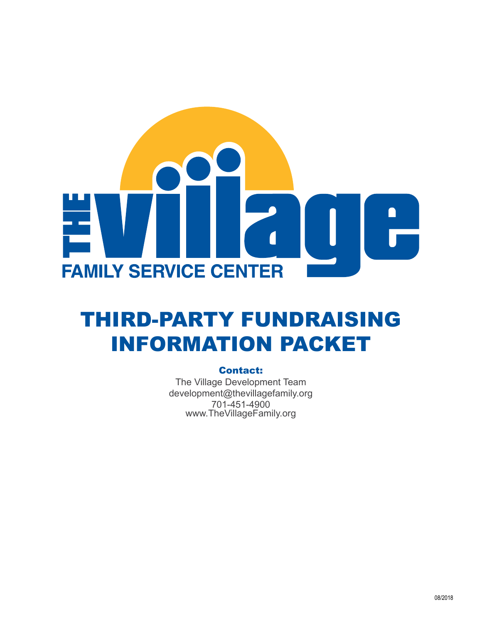

# THIRD-PARTY FUNDRAISING INFORMATION PACKET

### Contact:

The Village Development Team development@thevillagefamily.org 701-451-4900 www.TheVillageFamily.org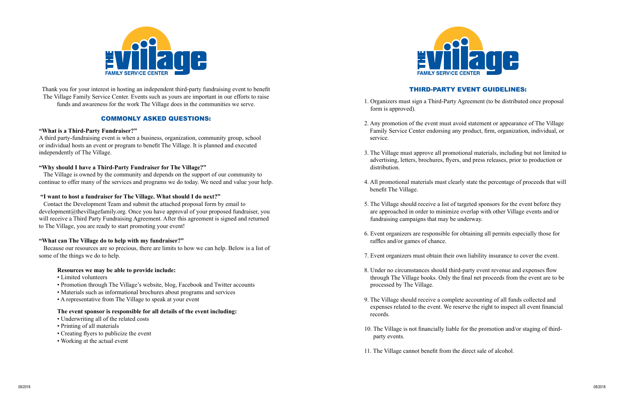

Thank you for your interest in hosting an independent third-party fundraising event to benefit The Village Family Service Center. Events such as yours are important in our efforts to raise funds and awareness for the work The Village does in the communities we serve.

## COMMONLY ASKED QUESTIONS:

### **"What is a Third-Party Fundraiser?"**

A third party-fundraising event is when a business, organization, community group, school or individual hosts an event or program to benefit The Village. It is planned and executed independently of The Village.

#### **"Why should I have a Third-Party Fundraiser for The Village?"**

The Village is owned by the community and depends on the support of our community to continue to offer many of the services and programs we do today. We need and value your help.

#### **"I want to host a fundraiser for The Village. What should I do next?"**

Contact the Development Team and submit the attached proposal form by email to development@thevillagefamily.org. Once you have approval of your proposed fundraiser, you will receive a Third Party Fundraising Agreement. After this agreement is signed and returned to The Village, you are ready to start promoting your event!

### **"What can The Village do to help with my fundraiser?"**

Because our resources are so precious, there are limits to how we can help. Below is a list of some of the things we do to help.

#### **Resources we may be able to provide include:**

- Limited volunteers
- Promotion through The Village's website, blog, Facebook and Twitter accounts
- Materials such as informational brochures about programs and services
- A representative from The Village to speak at your event

#### **The event sponsor is responsible for all details of the event including:**

- Underwriting all of the related costs
- Printing of all materials
- Creating flyers to publicize the event
- Working at the actual event



# THIRD-PARTY EVENT GUIDELINES:

1. Organizers must sign a Third-Party Agreement (to be distributed once proposal

2. Any promotion of the event must avoid statement or appearance of The Village Family Service Center endorsing any product, firm, organization, individual, or

3. The Village must approve all promotional materials, including but not limited to advertising, letters, brochures, flyers, and press releases, prior to production or

4. All promotional materials must clearly state the percentage of proceeds that will

5. The Village should receive a list of targeted sponsors for the event before they are approached in order to minimize overlap with other Village events and/or

- form is approved).
- service.
- distribution.
- benefit The Village.
- fundraising campaigns that may be underway.
- raffles and/or games of chance.
- 
- processed by The Village.
- records.
- party events.
- 11. The Village cannot benefit from the direct sale of alcohol.

6. Event organizers are responsible for obtaining all permits especially those for

7. Event organizers must obtain their own liability insurance to cover the event.

8. Under no circumstances should third-party event revenue and expenses flow through The Village books. Only the final net proceeds from the event are to be

9. The Village should receive a complete accounting of all funds collected and expenses related to the event. We reserve the right to inspect all event financial

10. The Village is not financially liable for the promotion and/or staging of third-